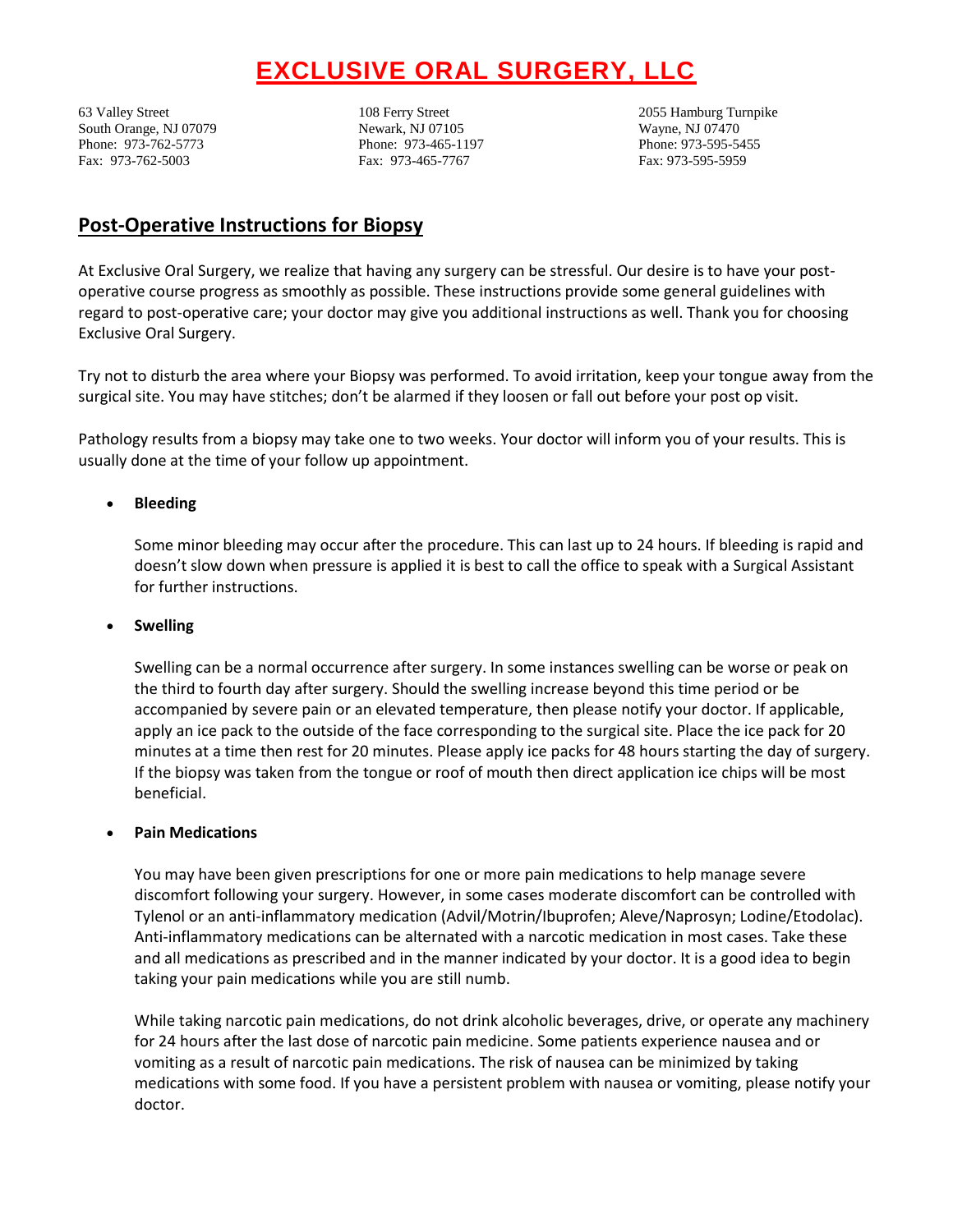# **EXCLUSIVE ORAL SURGERY, LLC**

South Orange, NJ 07079 Newark, NJ 07105 Wayne, NJ 07470 Phone: 973-762-5773 Phone: 973-465-1197 Phone: 973-595-5455 Fax: 973-762-5003 Fax: 973-465-7767 Fax: 973-595-5959

63 Valley Street 108 Ferry Street 2055 Hamburg Turnpike

# **Post-Operative Instructions for Biopsy**

At Exclusive Oral Surgery, we realize that having any surgery can be stressful. Our desire is to have your postoperative course progress as smoothly as possible. These instructions provide some general guidelines with regard to post-operative care; your doctor may give you additional instructions as well. Thank you for choosing Exclusive Oral Surgery.

Try not to disturb the area where your Biopsy was performed. To avoid irritation, keep your tongue away from the surgical site. You may have stitches; don't be alarmed if they loosen or fall out before your post op visit.

Pathology results from a biopsy may take one to two weeks. Your doctor will inform you of your results. This is usually done at the time of your follow up appointment.

# **Bleeding**

Some minor bleeding may occur after the procedure. This can last up to 24 hours. If bleeding is rapid and doesn't slow down when pressure is applied it is best to call the office to speak with a Surgical Assistant for further instructions.

#### **Swelling**

Swelling can be a normal occurrence after surgery. In some instances swelling can be worse or peak on the third to fourth day after surgery. Should the swelling increase beyond this time period or be accompanied by severe pain or an elevated temperature, then please notify your doctor. If applicable, apply an ice pack to the outside of the face corresponding to the surgical site. Place the ice pack for 20 minutes at a time then rest for 20 minutes. Please apply ice packs for 48 hours starting the day of surgery. If the biopsy was taken from the tongue or roof of mouth then direct application ice chips will be most beneficial.

#### **Pain Medications**

You may have been given prescriptions for one or more pain medications to help manage severe discomfort following your surgery. However, in some cases moderate discomfort can be controlled with Tylenol or an anti-inflammatory medication (Advil/Motrin/Ibuprofen; Aleve/Naprosyn; Lodine/Etodolac). Anti-inflammatory medications can be alternated with a narcotic medication in most cases. Take these and all medications as prescribed and in the manner indicated by your doctor. It is a good idea to begin taking your pain medications while you are still numb.

While taking narcotic pain medications, do not drink alcoholic beverages, drive, or operate any machinery for 24 hours after the last dose of narcotic pain medicine. Some patients experience nausea and or vomiting as a result of narcotic pain medications. The risk of nausea can be minimized by taking medications with some food. If you have a persistent problem with nausea or vomiting, please notify your doctor.